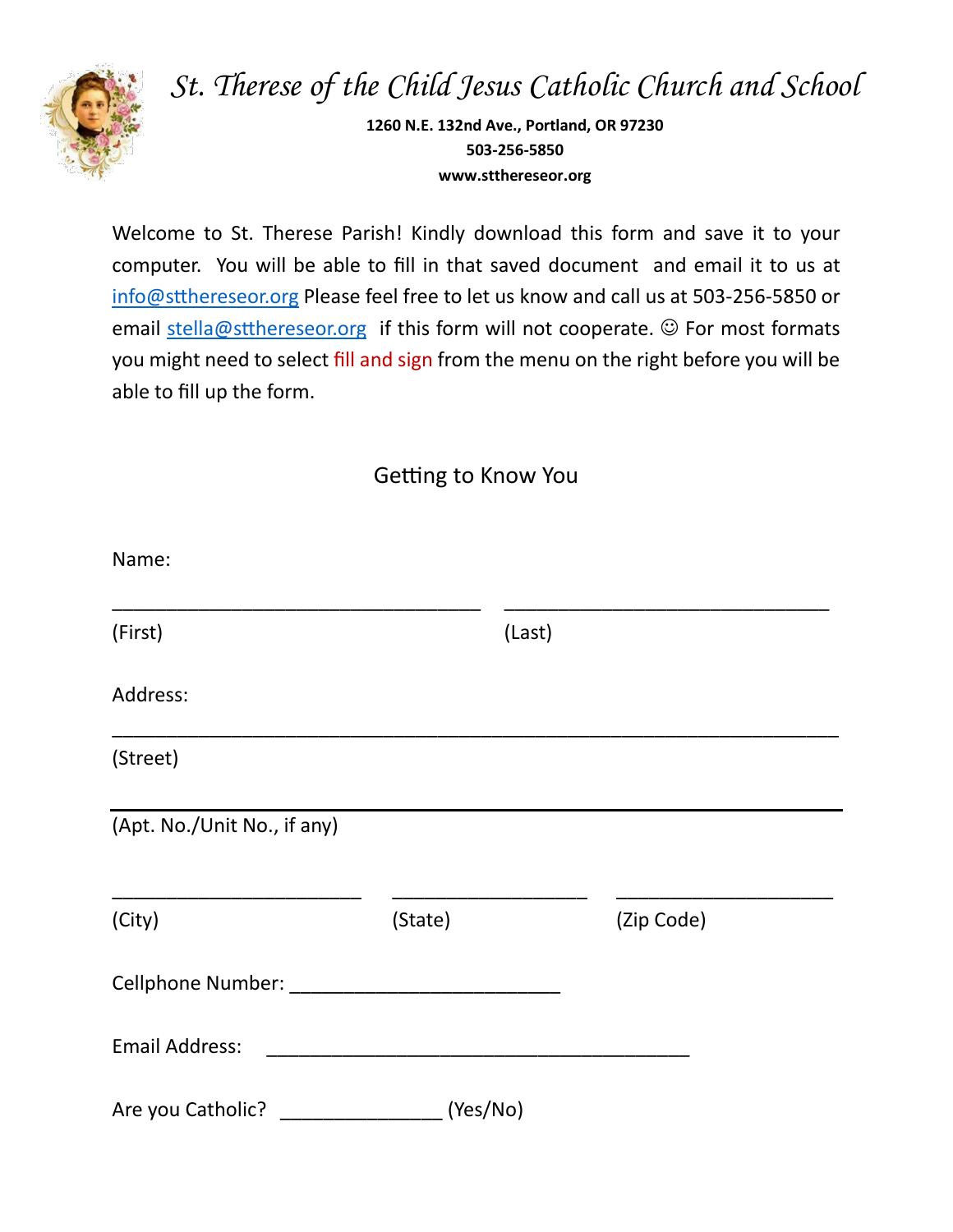

*St. Therese of the Child Jesus Catholic Church and School*

**1260 N.E. 132nd Ave., Portland, OR 97230 503-256-5850 www.stthereseor.org**

Welcome to St. Therese Parish! Kindly download this form and save it to your computer. You will be able to fill in that saved document and email it to us at [info@stthereseor.org](mailto:info@stthereseor.org) Please feel free to let us know and call us at 503-256-5850 or email [stella@stthereseor.org](mailto:stella@stthereseor.org) if this form will not cooperate.  $\odot$  For most formats you might need to select fill and sign from the menu on the right before you will be able to fill up the form.

Getting to Know You

| Name:                       |          |            |  |
|-----------------------------|----------|------------|--|
| (First)                     |          | (Last)     |  |
| Address:                    |          |            |  |
| (Street)                    |          |            |  |
| (Apt. No./Unit No., if any) |          |            |  |
| (City)                      | (State)  | (Zip Code) |  |
| Cellphone Number: ______    |          |            |  |
| <b>Email Address:</b>       |          |            |  |
| Are you Catholic?           | (Yes/No) |            |  |